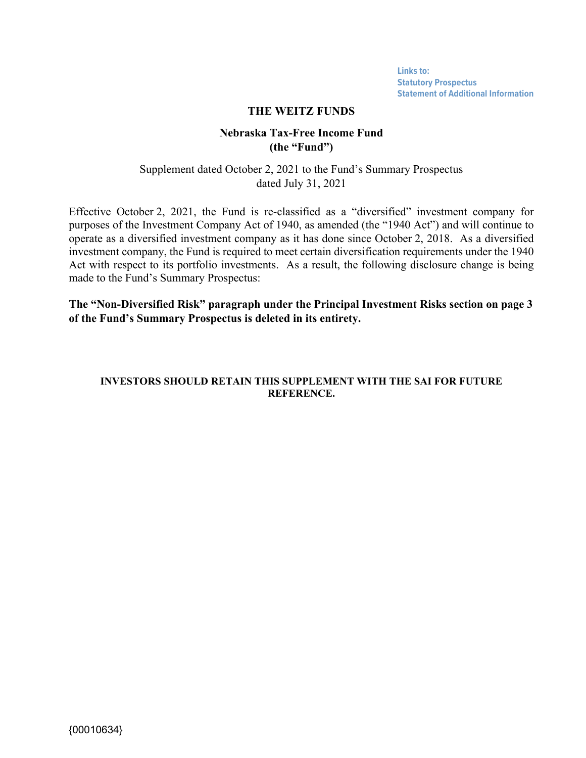**Links to: [Statutory Prospectus](https://weitzinvestments.com/sitefiles/live/documents/funds/prospectuses/WeitzFundsProspectus.pdf) [Statement of Additional Information](https://weitzinvestments.com/sitefiles/live/documents/funds/sai/WeitzSAI.pdf)**

#### **THE WEITZ FUNDS**

#### **Nebraska Tax-Free Income Fund (the "Fund")**

Supplement dated October 2, 2021 to the Fund's Summary Prospectus dated July 31, 2021

Effective October 2, 2021, the Fund is re-classified as a "diversified" investment company for purposes of the Investment Company Act of 1940, as amended (the "1940 Act") and will continue to operate as a diversified investment company as it has done since October 2, 2018. As a diversified investment company, the Fund is required to meet certain diversification requirements under the 1940 Act with respect to its portfolio investments. As a result, the following disclosure change is being made to the Fund's Summary Prospectus:

**The "Non-Diversified Risk" paragraph under the Principal Investment Risks section on page 3 of the Fund's Summary Prospectus is deleted in its entirety.** 

#### **INVESTORS SHOULD RETAIN THIS SUPPLEMENT WITH THE SAI FOR FUTURE REFERENCE.**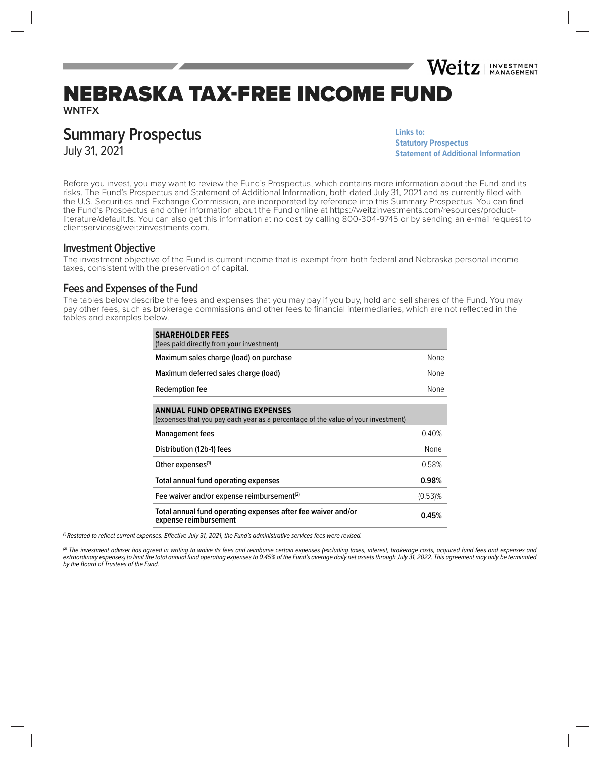# NEBRASKA TAX-FREE INCOME FUND

**WNTFX**

# **Summary Prospectus**

July 31, 2021

**Links to: [Statutory Prospectus](https://weitzinvestments.com/sitefiles/live/documents/funds/prospectuses/WeitzFundsProspectus.pdf) [Statement of Additional Information](https://weitzinvestments.com/sitefiles/live/documents/funds/sai/WeitzSAI.pdf)**

Weitz | INVESTMENT

Before you invest, you may want to review the Fund's Prospectus, which contains more information about the Fund and its risks. The Fund's Prospectus and Statement of Additional Information, both dated July 31, 2021 and as currently filed with the U.S. Securities and Exchange Commission, are incorporated by reference into this Summary Prospectus. You can find the Fund's Prospectus and other information about the Fund online at https://weitzinvestments.com/resources/productliterature/default.fs. You can also get this information at no cost by calling 800-304-9745 or by sending an e-mail request to clientservices@weitzinvestments.com.

#### **Investment Objective**

The investment objective of the Fund is current income that is exempt from both federal and Nebraska personal income taxes, consistent with the preservation of capital.

### **Fees and Expenses of the Fund**

The tables below describe the fees and expenses that you may pay if you buy, hold and sell shares of the Fund. You may pay other fees, such as brokerage commissions and other fees to financial intermediaries, which are not reflected in the tables and examples below.

| <b>SHAREHOLDER FEES</b><br>(fees paid directly from your investment) |      |  |  |
|----------------------------------------------------------------------|------|--|--|
| Maximum sales charge (load) on purchase                              | None |  |  |
| Maximum deferred sales charge (load)                                 | None |  |  |
| Redemption fee                                                       | None |  |  |

| <b>ANNUAL FUND OPERATING EXPENSES</b><br>(expenses that you pay each year as a percentage of the value of your investment) |            |  |  |
|----------------------------------------------------------------------------------------------------------------------------|------------|--|--|
| <b>Management fees</b>                                                                                                     | 0.40%      |  |  |
| Distribution (12b-1) fees                                                                                                  | None       |  |  |
| Other expenses <sup>(1)</sup>                                                                                              | 0.58%      |  |  |
| Total annual fund operating expenses                                                                                       | 0.98%      |  |  |
| Fee waiver and/or expense reimbursement <sup>(2)</sup>                                                                     | $(0.53)\%$ |  |  |
| Total annual fund operating expenses after fee waiver and/or<br>expense reimbursement                                      | 0.45%      |  |  |

 $\eta$  Restated to reflect current expenses. Effective July 31, 2021, the Fund's administrative services fees were revised.

(2) The investment adviser has agreed in writing to waive its fees and reimburse certain expenses (excluding taxes, interest, brokerage costs, acquired fund fees and expenses and extraordinary expenses) to limit the total annual fund operating expenses to 0.45% of the Fund's average daily net assets through July 31, 2022. This agreement may only be terminated by the Board of Trustees of the Fund.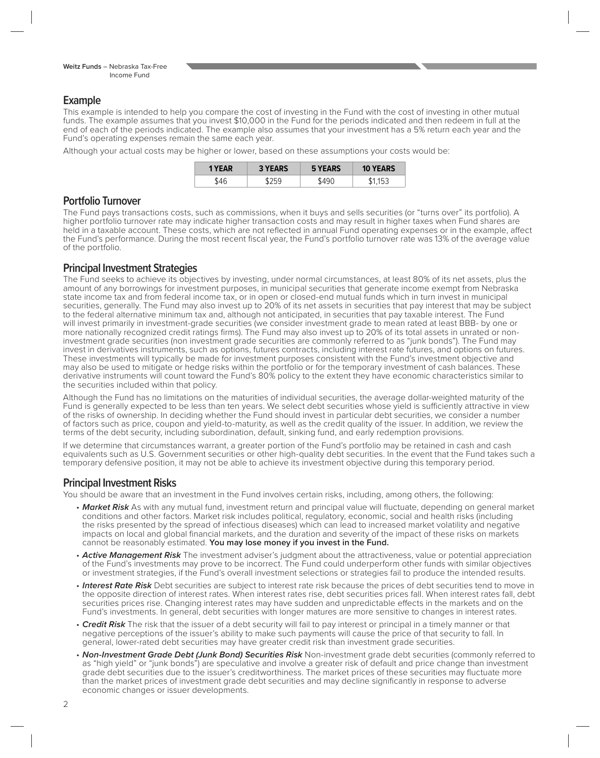# **Example**

This example is intended to help you compare the cost of investing in the Fund with the cost of investing in other mutual funds. The example assumes that you invest \$10,000 in the Fund for the periods indicated and then redeem in full at the end of each of the periods indicated. The example also assumes that your investment has a 5% return each year and the Fund's operating expenses remain the same each year.

Although your actual costs may be higher or lower, based on these assumptions your costs would be:

| 1 YEAR | <b>3 YEARS</b> | EARS | <b>10 YEARS</b> |
|--------|----------------|------|-----------------|
|        |                |      | بہا             |

### **Portfolio Turnover**

The Fund pays transactions costs, such as commissions, when it buys and sells securities (or "turns over" its portfolio). A higher portfolio turnover rate may indicate higher transaction costs and may result in higher taxes when Fund shares are held in a taxable account. These costs, which are not reflected in annual Fund operating expenses or in the example, affect the Fund's performance. During the most recent fiscal year, the Fund's portfolio turnover rate was 13% of the average value of the portfolio.

# **Principal Investment Strategies**

The Fund seeks to achieve its objectives by investing, under normal circumstances, at least 80% of its net assets, plus the amount of any borrowings for investment purposes, in municipal securities that generate income exempt from Nebraska state income tax and from federal income tax, or in open or closed-end mutual funds which in turn invest in municipal securities, generally. The Fund may also invest up to 20% of its net assets in securities that pay interest that may be subject to the federal alternative minimum tax and, although not anticipated, in securities that pay taxable interest. The Fund will invest primarily in investment-grade securities (we consider investment grade to mean rated at least BBB- by one or more nationally recognized credit ratings firms). The Fund may also invest up to 20% of its total assets in unrated or noninvestment grade securities (non investment grade securities are commonly referred to as "junk bonds"). The Fund may invest in derivatives instruments, such as options, futures contracts, including interest rate futures, and options on futures. These investments will typically be made for investment purposes consistent with the Fund's investment objective and may also be used to mitigate or hedge risks within the portfolio or for the temporary investment of cash balances. These derivative instruments will count toward the Fund's 80% policy to the extent they have economic characteristics similar to the securities included within that policy.

Although the Fund has no limitations on the maturities of individual securities, the average dollar-weighted maturity of the Fund is generally expected to be less than ten years. We select debt securities whose yield is sufficiently attractive in view of the risks of ownership. In deciding whether the Fund should invest in particular debt securities, we consider a number of factors such as price, coupon and yield-to-maturity, as well as the credit quality of the issuer. In addition, we review the terms of the debt security, including subordination, default, sinking fund, and early redemption provisions.

If we determine that circumstances warrant, a greater portion of the Fund's portfolio may be retained in cash and cash equivalents such as U.S. Government securities or other high-quality debt securities. In the event that the Fund takes such a temporary defensive position, it may not be able to achieve its investment objective during this temporary period.

# **Principal Investment Risks**

You should be aware that an investment in the Fund involves certain risks, including, among others, the following:

- Market Risk As with any mutual fund, investment return and principal value will fluctuate, depending on general market conditions and other factors. Market risk includes political, regulatory, economic, social and health risks (including the risks presented by the spread of infectious diseases) which can lead to increased market volatility and negative impacts on local and global financial markets, and the duration and severity of the impact of these risks on markets cannot be reasonably estimated. **You may lose money if you invest in the Fund.**
- **Active Management Risk** The investment adviser's judgment about the attractiveness, value or potential appreciation of the Fund's investments may prove to be incorrect. The Fund could underperform other funds with similar objectives or investment strategies, if the Fund's overall investment selections or strategies fail to produce the intended results.
- **Interest Rate Risk** Debt securities are subject to interest rate risk because the prices of debt securities tend to move in the opposite direction of interest rates. When interest rates rise, debt securities prices fall. When interest rates fall, debt securities prices rise. Changing interest rates may have sudden and unpredictable effects in the markets and on the Fund's investments. In general, debt securities with longer matures are more sensitive to changes in interest rates.
- **Credit Risk** The risk that the issuer of a debt security will fail to pay interest or principal in a timely manner or that negative perceptions of the issuer's ability to make such payments will cause the price of that security to fall. In general, lower-rated debt securities may have greater credit risk than investment grade securities.
- **Non-Investment Grade Debt (Junk Bond) Securities Risk** Non-investment grade debt securities (commonly referred to as "high yield" or "junk bonds") are speculative and involve a greater risk of default and price change than investment grade debt securities due to the issuer's creditworthiness. The market prices of these securities may fluctuate more than the market prices of investment grade debt securities and may decline significantly in response to adverse economic changes or issuer developments.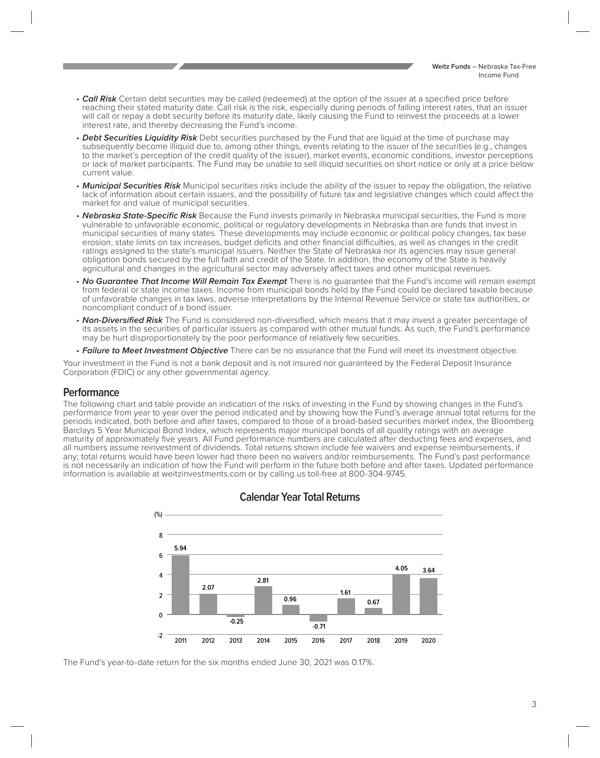- **Call Risk** Certain debt securities may be called (redeemed) at the option of the issuer at a specified price before reaching their stated maturity date. Call risk is the risk, especially during periods of falling interest rates, that an issuer will call or repay a debt security before its maturity date, likely causing the Fund to reinvest the proceeds at a lower interest rate, and thereby decreasing the Fund's income.
- **Debt Securities Liquidity Risk** Debt securities purchased by the Fund that are liquid at the time of purchase may subsequently become illiquid due to, among other things, events relating to the issuer of the securities (e.g., changes to the market's perception of the credit quality of the issuer), market events, economic conditions, investor perceptions or lack of market participants. The Fund may be unable to sell illiquid securities on short notice or only at a price below current value.
- **Municipal Securities Risk** Municipal securities risks include the ability of the issuer to repay the obligation, the relative lack of information about certain issuers, and the possibility of future tax and legislative changes which could affect the market for and value of municipal securities.
- Nebraska State-Specific Risk Because the Fund invests primarily in Nebraska municipal securities, the Fund is more vulnerable to unfavorable economic, political or regulatory developments in Nebraska than are funds that invest in municipal securities of many states. These developments may include economic or political policy changes, tax base erosion, state limits on tax increases, budget deficits and other financial difficulties, as well as changes in the credit ratings assigned to the state's municipal issuers. Neither the State of Nebraska nor its agencies may issue general obligation bonds secured by the full faith and credit of the State. In addition, the economy of the State is heavily agricultural and changes in the agricultural sector may adversely affect taxes and other municipal revenues.
- **No Guarantee That Income Will Remain Tax Exempt** There is no guarantee that the Fund's income will remain exempt from federal or state income taxes. Income from municipal bonds held by the Fund could be declared taxable because of unfavorable changes in tax laws, adverse interpretations by the Internal Revenue Service or state tax authorities, or noncompliant conduct of a bond issuer.
- **Non-Diversified Risk** The Fund is considered non-diversified, which means that it may invest a greater percentage of its assets in the securities of particular issuers as compared with other mutual funds. As such, the Fund's performance may be hurt disproportionately by the poor performance of relatively few securities.
- **Failure to Meet Investment Objective** There can be no assurance that the Fund will meet its investment objective.

Your investment in the Fund is not a bank deposit and is not insured nor guaranteed by the Federal Deposit Insurance Corporation (FDIC) or any other governmental agency.

### **Performance**

The following chart and table provide an indication of the risks of investing in the Fund by showing changes in the Fund's performance from year to year over the period indicated and by showing how the Fund's average annual total returns for the periods indicated, both before and after taxes, compared to those of a broad-based securities market index, the Bloomberg Barclays 5 Year Municipal Bond Index, which represents major municipal bonds of all quality ratings with an average maturity of approximately five years. All Fund performance numbers are calculated after deducting fees and expenses, and all numbers assume reinvestment of dividends. Total returns shown include fee waivers and expense reimbursements, if any; total returns would have been lower had there been no waivers and/or reimbursements. The Fund's past performance is not necessarily an indication of how the Fund will perform in the future both before and after taxes. Updated performance information is available at weitzinvestments.com or by calling us toll-free at 800-304-9745.



# **Calendar Year Total Returns**

The Fund's year-to-date return for the six months ended June 30, 2021 was 0.17%.